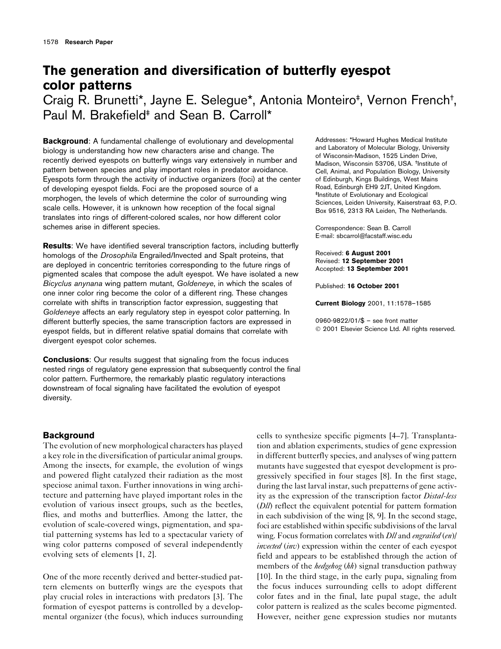# **The generation and diversification of butterfly eyespot color patterns**

Craig R. Brunetti\*, Jayne E. Selegue\*, Antonia Monteiro<sup>‡</sup>, Vernon French<sup>†</sup>, Paul M. Brakefield<sup>#</sup> and Sean B. Carroll\*

**Background:** A fundamental challenge of evolutionary and developmental Addresses: \*Howard Hughes Medical Institute below the state of the case of the case of the case of the case of the case of the case of the case of the biology is understanding how new characters arise and change. The<br>recently derived eyespots on butterfly wings vary extensively in number and<br>Madison, Wisconsin 53706, USA. \*Institute of pattern between species and play important roles in predator avoidance. Cell, Animal, and Population Biology, University Eyespots form through the activity of inductive organizers (foci) at the center of Edinburgh, Kings Buildings, West Mains<br>of developing evespot fields. Foci are the proposed source of a Road, Edinburgh EH9 2JT, United King of developing eyespot fields. Foci are the proposed source of a<br>
morphogen, the levels of which determine the color of surrounding wing<br>
scale cells. However, it is unknown how reception of the focal signal<br>
scale cells. H translates into rings of different-colored scales, nor how different color schemes arise in different species. The correspondence: Sean B. Carroll correspondence: Sean B. Carroll

**Results:** We have identified several transcription factors, including butterfly Received: **6 August 2001** homologs of the Drosophila Engrailed/Invected and Spalt proteins, that are deployed in concentric territories corresponding to the future rings of Accepted: **<sup>13</sup> September <sup>2001</sup>** pigmented scales that compose the adult eyespot. We have isolated a new Bicyclus anynana wing pattern mutant, Goldeneye, in which the scales of Published: 16 October 2001 one inner color ring become the color of a different ring. These changes correlate with shifts in transcription factor expression, suggesting that **Current Biology** 2001, 11:1578–1585 Goldeneye affects an early regulatory step in eyespot color patterning. In different butterfly species, the same transcription factors are expressed in 0960-9822/01/\$ – see front matter<br>expected by the same transcription factors are expressed in 0960-9822/01/\$ – see front matter expressed. eyespot fields, but in different relative spatial domains that correlate with divergent eyespot color schemes.

**Conclusions**: Our results suggest that signaling from the focus induces nested rings of regulatory gene expression that subsequently control the final color pattern. Furthermore, the remarkably plastic regulatory interactions downstream of focal signaling have facilitated the evolution of eyespot diversity.

a key role in the diversification of particular animal groups. in different butterfly species, and analyses of wing pattern Among the insects, for example, the evolution of wings mutants have suggested that eyespot development is proand powered flight catalyzed their radiation as the most gressively specified in four stages [8]. In the first stage, speciose animal taxon. Further innovations in wing archi- during the last larval instar, such prepatterns of gene activtecture and patterning have played important roles in the ity as the expression of the transcription factor *Distal-less* evolution of various insect groups, such as the beetles, (*Dll*) reflect the equivalent potential for pattern formation flies, and moths and butterflies. Among the latter, the in each subdivision of the wing [8, 9]. In the second stage, evolution of scale-covered wings, pigmentation, and spa- foci are established within specific subdivisions of the larval tial patterning systems has led to a spectacular variety of wing. Focus formation correlates with *Dll* and *engrailed* (*en*)/ wing color patterns composed of several independently *invected (inv*) expression within the center of each eyespot evolving sets of elements [1, 2].

formation of eyespot patterns is controlled by a develop- color pattern is realized as the scales become pigmented. mental organizer (the focus), which induces surrounding However, neither gene expression studies nor mutants

E-mail: sbcarrol@facstaff.wisc.edu

Revised: **12 September 2001**

**Background** cells to synthesize specific pigments [4–7]. Transplanta-The evolution of new morphological characters has played tion and ablation experiments, studies of gene expression field and appears to be established through the action of members of the *hedgehog* (*hh*) signal transduction pathway One of the more recently derived and better-studied pat- [10]. In the third stage, in the early pupa, signaling from tern elements on butterfly wings are the eyespots that the focus induces surrounding cells to adopt different play crucial roles in interactions with predators [3]. The color fates and in the final, late pupal stage, the adult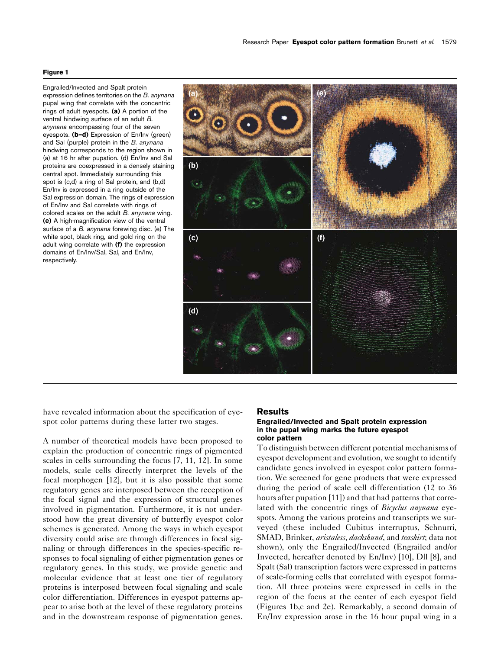Engrailed/Invected and Spalt protein expression defines territories on the B. anynana pupal wing that correlate with the concentric rings of adult eyespots. **(a)** A portion of the ventral hindwing surface of an adult B. anynana encompassing four of the seven eyespots. **(b–d)** Expression of En/Inv (green) and Sal (purple) protein in the B. anynana hindwing corresponds to the region shown in (a) at 16 hr after pupation. (d) En/Inv and Sal proteins are coexpressed in a densely staining central spot. Immediately surrounding this spot is (c,d) a ring of Sal protein, and (b,d) En/Inv is expressed in a ring outside of the Sal expression domain. The rings of expression of En/Inv and Sal correlate with rings of colored scales on the adult B. anynana wing. **(e)** A high-magnification view of the ventral surface of a B. anynana forewing disc. (e) The white spot, black ring, and gold ring on the adult wing correlate with **(f)** the expression domains of En/Inv/Sal, Sal, and En/Inv, respectively.



have revealed information about the specification of eye- **Results** spot color patterns during these latter two stages. **Engrailed/Invected and Spalt protein expression**

A number of theoretical models have been proposed to<br>explain the production of concentric rings of pigmented To distinguish between different potential mechanisms of explain the production of concentric rings of pigmented<br>scales in cells surrounding the focus [7, 11, 12]. In some eyespot development and evolution, we sought to identify scales in cells surrounding the focus [7, 11, 12]. In some eyespot development and evolution, we sought to identify models scale cells directly interpret the levels of the candidate genes involved in eyespot color pattern models, scale cells directly interpret the levels of the focal morphogen [12], but it is also possible that some tion. We screened for gene products that were expressed<br>regulatory genes are interposed between the reception of during the period of scale cell differentiation (12 t regulatory genes are interposed between the reception of during the period of scale cell differentiation (12 to 36 regulatory genes are interposed between the reception of structural genes hours after pupation [11]) and th the focal signal and the expression of structural genes involved in pigmentation. Furthermore, it is not under-<br>stood how the great diversity of butterfly evespot color spots. Among the various proteins and transcripts we surstood how the great diversity of butterfly eyespot color schemes is generated. Among the ways in which eyespot veyed (these included Cubitus interruptus, Schnurri, diversity could arise are through differences in focal sig- SMAD, Brinker, *aristaless*, *dachshund*, and *teashirt*; data not naling or through differences in the species-specific re- shown), only the Engrailed/Invected (Engrailed and/or sponses to focal signaling of either pigmentation genes or Invected, hereafter denoted by En/Inv) [10], Dll [8], and regulatory genes. In this study, we provide genetic and Spalt (Sal) transcription factors were expressed in patterns molecular evidence that at least one tier of regulatory of scale-forming cells that correlated with eyespot formaproteins is interposed between focal signaling and scale tion. All three proteins were expressed in cells in the color differentiation. Differences in eyespot patterns ap- region of the focus at the center of each eyespot field pear to arise both at the level of these regulatory proteins (Figures 1b,c and 2e). Remarkably, a second domain of and in the downstream response of pigmentation genes. En/Inv expression arose in the 16 hour pupal wing in a

# **in the pupal wing marks the future eyespot**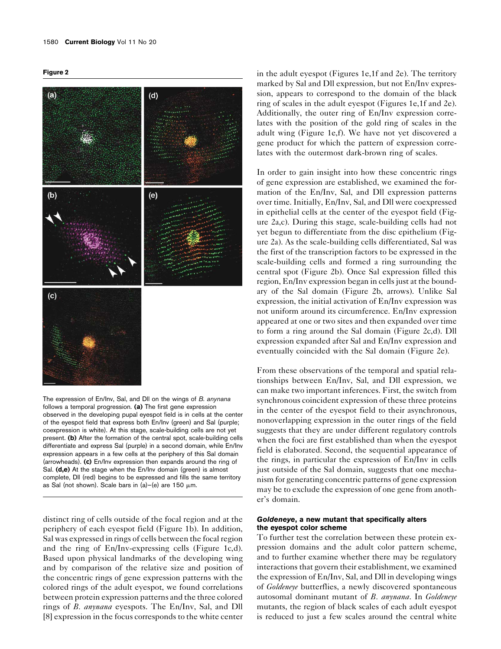



of the eyespot field that express both En/Inv (green) and Sal (purple; coexpression is white). At this stage, scale-building cells are not yet suggests that they are under different regulatory controls present. (b) After the formation of the central spot, scale-building cells when the foci ar present. (b) After the formation of the central spot, scale-building cells when the foci are first established than when the eyespot differentiate and express Sal (purple) in a second domain, while En/Inv expression appear (arrowheads). **(c)** En/Inv expression then expands around the ring of the rings, in particular the expression of En/Inv in cells Sal. **(d,e)** At the stage when the En/Inv domain (green) is almost just outside of the Sal domain, suggests that one mecha-<br>complete, DII (red) begins to be expressed and fills the same territory is mean for generating con

distinct ring of cells outside of the focal region and at the **Goldeneye, a new mutant that specifically alters** periphery of each eyespot field (Figure 1b). In addition, Sal was expressed in rings of cells between the focal region To further test the correlation between these protein exand the ring of En/Inv-expressing cells (Figure 1c,d). pression domains and the adult color pattern scheme, Based upon physical landmarks of the developing wing and to further examine whether there may be regulatory and by comparison of the relative size and position of interactionsthat govern their establishment, we examined the concentric rings of gene expression patterns with the the expression of En/Inv, Sal, and Dll in developing wings colored rings of the adult eyespot, we found correlations of *Goldeneye* butterflies, a newly discovered spontaneous between protein expression patterns and the three colored autosomal dominant mutant of *B. anynana*. In *Goldeneye* rings of *B. anynana* eyespots. The En/Inv, Sal, and Dll mutants, the region of black scales of each adult eyespot [8] expression in the focus corresponds to the white center is reduced to just a few scales around the central white

**Figure 2** in the adult eyespot (Figures 1e, 1f and 2e). The territory marked by Sal and Dll expression, but not En/Inv expression, appears to correspond to the domain of the black ring of scales in the adult eyespot (Figures 1e,1f and 2e). Additionally, the outer ring of En/Inv expression correlates with the position of the gold ring of scales in the adult wing (Figure 1e,f). We have not yet discovered a gene product for which the pattern of expression correlates with the outermost dark-brown ring of scales.

> In order to gain insight into how these concentric rings of gene expression are established, we examined the formation of the En/Inv, Sal, and Dll expression patterns over time. Initially, En/Inv, Sal, and Dll were coexpressed in epithelial cells at the center of the eyespot field (Figure 2a,c). During this stage, scale-building cells had not yet begun to differentiate from the disc epithelium (Figure 2a). As the scale-building cells differentiated, Sal was the first of the transcription factors to be expressed in the scale-building cells and formed a ring surrounding the central spot (Figure 2b). Once Sal expression filled this region, En/Inv expression began in cells just at the boundary of the Sal domain (Figure 2b, arrows). Unlike Sal expression, the initial activation of En/Inv expression was not uniform around its circumference. En/Inv expression appeared at one or two sites and then expanded over time to form a ring around the Sal domain (Figure 2c,d). Dll expression expanded after Sal and En/Inv expression and eventually coincided with the Sal domain (Figure 2e).

From these observations of the temporal and spatial relationships between En/Inv, Sal, and Dll expression, we can make two important inferences. First, the switch from The expression of En/Inv, Sal, and DII on the wings of *B. anynana* synchronous coincident expression of these three proteins follows a temporal progression. (a) The first gene expression<br>observed in the developing pupal e complete, DII (red) begins to be expressed and fills the same territory<br>as Sal (not shown). Scale bars in (a)–(e) are 150  $\mu$ m.<br>may be to exclude the expression of one gene from another's domain.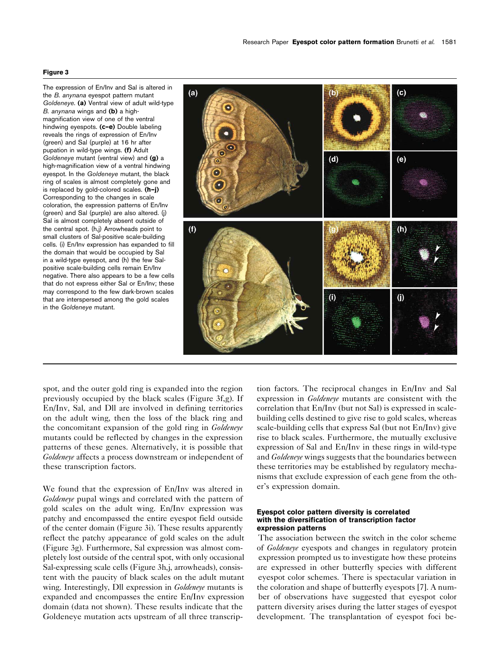The expression of En/Inv and Sal is altered in the B. anynana eyespot pattern mutant Goldeneye. **(a)** Ventral view of adult wild-type B. anynana wings and **(b)** a highmagnification view of one of the ventral hindwing eyespots. **(c–e)** Double labeling reveals the rings of expression of En/Inv (green) and Sal (purple) at 16 hr after pupation in wild-type wings. **(f)** Adult Goldeneye mutant (ventral view) and **(g)** a high-magnification view of a ventral hindwing eyespot. In the Goldeneye mutant, the black ring of scales is almost completely gone and is replaced by gold-colored scales. **(h–j)** Corresponding to the changes in scale coloration, the expression patterns of En/Inv (green) and Sal (purple) are also altered. (j) Sal is almost completely absent outside of the central spot. (h,j) Arrowheads point to small clusters of Sal-positive scale-building cells. (i) En/Inv expression has expanded to fill the domain that would be occupied by Sal in a wild-type eyespot, and (h) the few Salpositive scale-building cells remain En/Inv negative. There also appears to be a few cells that do not express either Sal or En/Inv; these may correspond to the few dark-brown scales that are interspersed among the gold scales in the Goldeneye mutant.



previously occupied by the black scales (Figure 3f,g). If expression in *Goldeneye* mutants are consistent with the En/Inv, Sal, and Dll are involved in defining territories correlation that En/Inv (but not Sal) is expressed in scaleon the adult wing, then the loss of the black ring and building cells destined to give rise to gold scales, whereas the concomitant expansion of the gold ring in *Goldeneye* scale-building cells that express Sal (but not En/Inv) give mutants could be reflected by changes in the expression rise to black scales. Furthermore, the mutually exclusive patterns of these genes. Alternatively, it is possible that expression of Sal and En/Inv in these rings in wild-type *Goldeneye* affects a process downstream or independent of and *Goldeneye* wings suggests that the boundaries between these transcription factors. these territories may be established by regulatory mecha-

We found that the expression of  $En/Inv$  was altered in  $er's$  expression domain. *Goldeneye* pupal wings and correlated with the pattern of gold scales on the adult wing. En/Inv expression was **Eyespot color pattern diversity is correlated** patchy and encompassed the entire eyespot field outside<br>of the **diversification** of **transcription factor**<br>of the center domain (Figure 3i). These results apparently<br>**expression patterns** of the center domain (Figure 3i). These results apparently reflect the patchy appearance of gold scales on the adult The association between the switch in the color scheme (Figure 3g). Furthermore, Sal expression was almost com- of *Goldeneye* eyespots and changes in regulatory protein pletely lost outside of the central spot, with only occasional expression prompted us to investigate how these proteins Sal-expressing scale cells (Figure 3h,j, arrowheads), consis- are expressed in other butterfly species with different tent with the paucity of black scales on the adult mutant eyespot color schemes. There is spectacular variation in wing. Interestingly, Dll expression in *Goldeneye* mutants is the coloration and shape of butterfly eyespots [7]. A numexpanded and encompasses the entire En/Inv expression ber of observations have suggested that eyespot color domain (data not shown). These results indicate that the pattern diversity arises during the latter stages of eyespot Goldeneye mutation acts upstream of all three transcrip- development. The transplantation of eyespot foci be-

spot, and the outer gold ring is expanded into the region tion factors. The reciprocal changes in En/Inv and Sal nisms that exclude expression of each gene from the oth-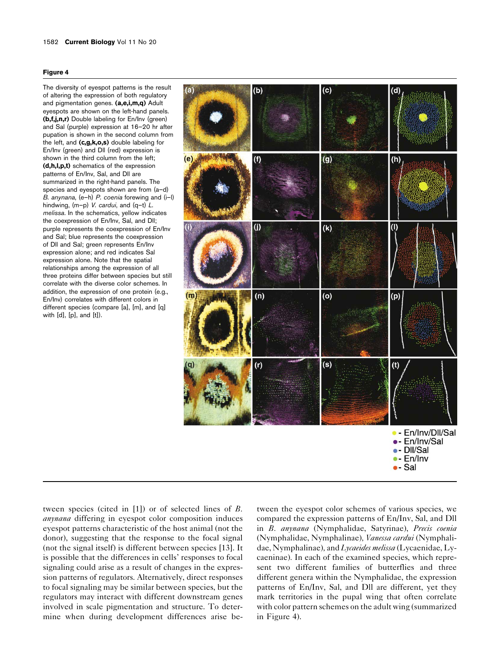The diversity of eyespot patterns is the result of altering the expression of both regulatory and pigmentation genes. **(a,e,i,m,q)** Adult eyespots are shown on the left-hand panels. **(b,f,j,n,r)** Double labeling for En/Inv (green) and Sal (purple) expression at 16–20 hr after pupation is shown in the second column from the left, and **(c,g,k,o,s)** double labeling for En/Inv (green) and Dll (red) expression is shown in the third column from the left; **(d,h,l,p,t)** schematics of the expression patterns of En/Inv, Sal, and Dll are summarized in the right-hand panels. The species and eyespots shown are from (a–d) B. anynana, (e–h) P. coenia forewing and (i–l) hindwing,  $(m-p)$  *V. cardui*, and  $(q-t)$  *L.* melissa. In the schematics, yellow indicates the coexpression of En/Inv, Sal, and Dll; purple represents the coexpression of En/Inv and Sal; blue represents the coexpression of Dll and Sal; green represents En/Inv expression alone; and red indicates Sal expression alone. Note that the spatial relationships among the expression of all three proteins differ between species but still correlate with the diverse color schemes. In addition, the expression of one protein (e.g., En/Inv) correlates with different colors in different species (compare [a], [m], and [q] with [d], [p], and [t]).



*anynana* differing in eyespot color composition induces compared the expression patterns of En/Inv, Sal, and Dll eyespot patterns characteristic of the host animal (not the in *B. anynana* (Nymphalidae, Satyrinae), *Precis coenia* donor), suggesting that the response to the focal signal (Nymphalidae, Nymphalinae)*, Vanessa cardui* (Nymphali- (not the signal itself) is different between species [13]. It dae, Nymphalinae)*,* and *Lycaeides melissa* (Lycaenidae, Lyis possible that the differences in cells' responses to focal caeninae)*.* In each of the examined species, which represignaling could arise as a result of changes in the expres- sent two different families of butterflies and three sion patterns of regulators. Alternatively, direct responses different genera within the Nymphalidae, the expression to focal signaling may be similar between species, but the patterns of En/Inv, Sal, and Dll are different, yet they regulators may interact with different downstream genes mark territories in the pupal wing that often correlate involved in scale pigmentation and structure. To deter- with color pattern schemes on the adult wing (summarized mine when during development differences arise be- in Figure 4).

tween species (cited in [1]) or of selected lines of *B.* tween the eyespot color schemes of various species, we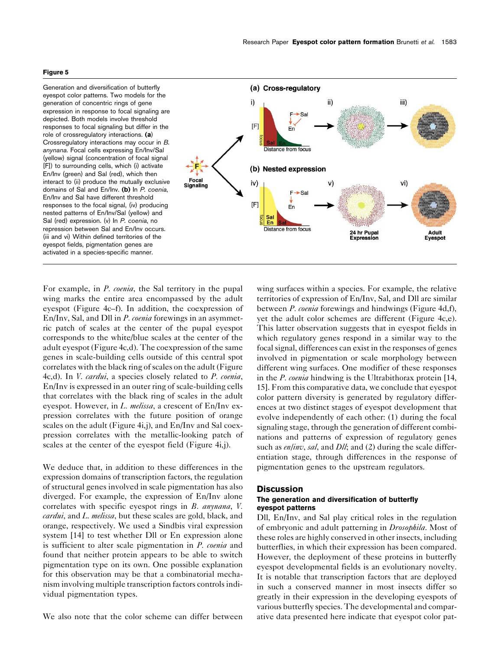Generation and diversification of butterfly eyespot color patterns. Two models for the generation of concentric rings of gene expression in response to focal signaling are depicted. Both models involve threshold responses to focal signaling but differ in the role of crossregulatory interactions. **(a**) Crossregulatory interactions may occur in B. anynana. Focal cells expressing En/Inv/Sal (yellow) signal (concentration of focal signal [F]) to surrounding cells, which (i) activate En/Inv (green) and Sal (red), which then interact to (ii) produce the mutually exclusive domains of Sal and En/Inv. **(b)** In P. coenia, En/Inv and Sal have different threshold responses to the focal signal, (iv) producing nested patterns of En/Inv/Sal (yellow) and Sal (red) expression. (v) In P. coenia, no repression between Sal and En/Inv occurs. (iii and vi) Within defined territories of the eyespot fields, pigmentation genes are activated in a species-specific manner.



wing marks the entire area encompassed by the adult territories of expression of En/Inv, Sal, and Dll are similar eyespot (Figure 4c–f). In addition, the coexpression of between *P. coenia* forewings and hindwings (Figure 4d,f), En/Inv, Sal, and Dll in *P. coenia* forewings in an asymmet- yet the adult color schemes are different (Figure 4c,e). ric patch of scales at the center of the pupal eyespot This latter observation suggests that in eyespot fields in corresponds to the white/blue scales at the center of the which regulatory genes respond in a similar way to the adult eyespot (Figure 4c,d). The coexpression of the same focal signal, differences can exist in the responses of genes genes in scale-building cells outside of this central spot involved in pigmentation or scale morphology between correlates with the black ring of scales on the adult (Figure different wing surfaces. One modifier of these responses 4c,d). In *V. cardui*, a species closely related to *P. coenia*, in the *P. coenia* hindwing is the Ultrabithorax protein [14, En/Inv is expressed in an outer ring of scale-building cells 15]. From this comparative data, we conclude that eyespot that correlates with the black ring of scales in the adult color pattern diversity is generated by regulatory differeyespot. However, in *L. melissa*, a crescent of En/Inv ex- ences at two distinct stages of eyespot development that pression correlates with the future position of orange evolve independently of each other: (1) during the focal scales on the adult (Figure 4i,j), and En/Inv and Sal coex-<br>pression correlates with the metallic-looking patch of nations and patterns of expression of regulatory genes

We deduce that, in addition to these differences in the pigmentation genes to the upstream regulators. expression domains of transcription factors, the regulation of structural genes involved in scale pigmentation has also **Discussion** diverged. For example, the expression of  $En/Inv$  alone **The generation and diversification of butterfly** correlates with specific eyespot rings in *B. anynana*, *V.* eyespot patterns *cardui*, and *L. melissa*, but these scales are gold, black, and Dll, En/Inv, and Sal play critical roles in the regulation orange, respectively. We used a Sindbis viral expression of embryonic and adult patterning in *Drosophila*. Most of system [14] to test whether Dll or En expression alone these roles are highly conserved in other insects, including is sufficient to alter scale pigmentation in *P. coenia* and butterflies, in which their expression has been compared.<br>
found that neither protein appears to be able to switch However, the deployment of these proteins in b found that neither protein appears to be able to switch However, the deployment of these proteins in butterfly<br>pigmentation type on its own. One possible explanation eves por developmental fields is an evolutionary novelty pigmentation type on its own. One possible explanation<br>for this observation may be that a combinatorial mecha-<br>nism involving multiple transcription factors controls indi-<br>vidual pigmentation types.<br>in such a conserved man

For example, in *P. coenia*, the Sal territory in the pupal wing surfaces within a species. For example, the relative pression correlates with the metallic-looking patch of nations and patterns of expression of regulatory genes scales at the center of the eyespot field (Figure 4i,j). such as *en/inv*, *sal*, and *Dll*; and (2) during the scale differentiation stage, through differences in the response of

greatly in their expression in the developing eyespots of various butterfly species. The developmental and compar-We also note that the color scheme can differ between ative data presented here indicate that eyespot color pat-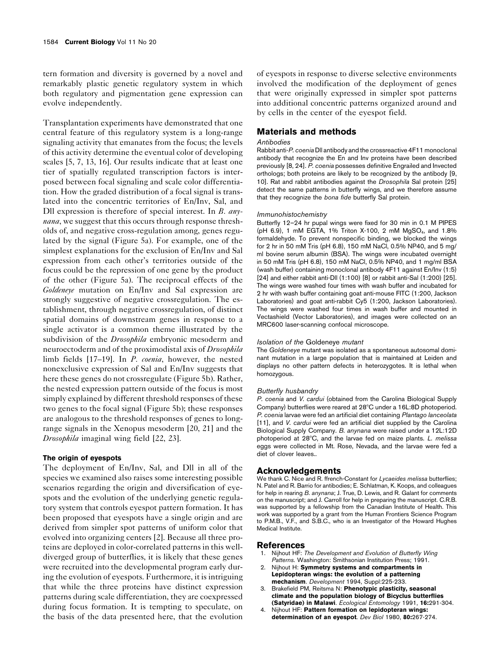Transplantation experiments have demonstrated that one central feature of this regulatory system is a long-range **Materials and methods** signaling activity that emanates from the focus; the levels *Antibodies*<br>of this activity determine the eventual color of developing Rabbitanti-P coenia DII antibody and the crossreactive 4F11 monoclonal of this activity determine the eventual color of developing<br>scales [5, 7, 13, 16]. Our results indicate that at least one<br>tier of spatially regulated transcription factors is inter-<br>orthology both proteins are likely to be posed between focal signaling and scale color differentia-<br>
tion How the graded distribution of a focal signal is trans-<br>
detect the same patterns in butterfly wings, and we therefore assume tion. How the graded distribution of a focal signal is trans-<br>that they recognize the bona fide butterfly Sal protein. lated into the concentric territories of En/Inv, Sal, and Dll expression is therefore of special interest. In *B. any-* Immunohistochemistry *nana*, we suggest that this occurs through response thresh- Butterfly 12–24 hr pupal wings were fixed for 30 min in 0.1 M PIPES olds of, and negative cross-regulation among, genes regu-<br>lated by the signal (Figure 5a) For example, one of the formaldehyde. To prevent nonspecific binding, we blocked the wings lated by the signal (Figure 5a). For example, one of the local and the stated by the signal (Figure 5a). For example, one of the local and terminate for 2 hr in 50 mM Tris (pH 6.8), 150 mM NaCl, 0.5% NP40, and 5 mg/ simplest explanations for the exclusion of En/Inv and Sal mil bovine serum albumin (BSA). The wings were incubated overnight expression from each other's territories outside of the in 50 mM Tris (pH 6.8), 150 mM NaCl, 0.5% NP40, and 1 mg/ml BSA focus could be the repression of one gene by the product (wash buffer) containing monoclonal antibody 4F11 against En/Inv (1:5)<br>of the other (Figure 5a), The reciprocal effects of the [24] and either rabbit anti-DII (1:100 of the other (Figure 5a). The reciprocal effects of the  $\frac{24}{3}$  and either rabbit anti-Dll (1:100) [8] or rabbit anti-Sal (1:200) [25]. The wings were washed four times with wash buffer containing on the with wash buffer containing goat anti-mouse FITC (1:200, Jackson Laboratories).<br>
2 hr with wash buffer containing goat anti-mouse FITC (1:200, Jackson Lab tablishment, through negative crossregulation, of distinct The wings were washed four times in wash buffer and mounted in<br>Spatial domains of downstream genes in response to a Vectashield (Vector Laboratories), and images w spatial domains of downstream genes in response to a<br>MRC600 laser-scanning confocal microscope. single activator is a common theme illustrated by the subdivision of the *Drosophila* embryonic mesoderm and Isolation of the Goldeneye mutant neuroectoderm and of the proximodistal axis of *Drosophila* The Goldeneye mutant was isolated as a spontaneous autosomal domilimb fields [17–19]. In *P. coenia*, however, the nested nant mutation in a large population that is maintained at Leiden and<br>nonexclusive expression of Sel and En/Inv suggests that displays no other pattern defects in het nonexclusive expression of Sal and En/Inv suggests that displays no here these genes do not crossregulate (Figure 5b). Rather, the nested expression pattern outside of the focus is most Butterfly husbandry simply explained by different threshold responses of these P. coenia and V. cardui (obtained from the Carolina Biological Supply<br>two genes to the focal signal (Figure 5b): these responses Company) butterflies were reared a two genes to the focal signal (Figure 5b); these responses Company) butterflies were reared at 28°C under a 16L:8D photoperiod.<br>P. coenia larvae were fed an artificial diet containing Plantago lanceolata are analogous to the threshold responses of genes to long-<br>[11], and V. cardui were fed an artificial diet supplied by the Carolina range signals in the Xenopus mesoderm [20, 21] and the Biological Supply Company. B. anynana were raised under a 12L:12D *Drosophila* imaginal wing field [22, 23]. photoperiod at 28°C, and the larvae fed on maize plants. L. melissa

## diet of clover leaves.. **The origin of eyespots**

The deployment of En/Inv, Sal, and Dll in all of the **Acknowledgements**<br>species we examined also raises some interesting possible We thank C. Nice and R. ffrench-Constant for Lycaeides melissa butterflies; Scenarios regarding the origin and diversification of eye-<br>Spots and the evolution of the underlying genetic regula-<br>on the manuscript: and L. Caroll for help in rearing the manuscriptic and R. Garoll for help in preparing tory system that controls eyespot pattern formation. It has was supported by a fellowship from the Canadian Institute of Health. This<br>heen proposed that eyespots have a single origin and are work was supported by a grant f been proposed that eyespots have a single origin and are the Work was supported by a grant from the Human Frontiers Science Program derived from simpler spot patterns of uniform color that Medical Institute. derived from simpler spot patterns of uniform color that evolved into organizing centers [2]. Because all three proteins are deployed in color-correlated patterns in this well-<br>discount and Evolution of Butterfly Wing<br>discount of Butterfly Wing diverged group of butterflies, it is likely that these genes<br>Patterns. Washington: Smithsonian Institution Press; 1991. were recruited into the developmental program early dur- 2. Nijhout H: **Symmetry systems and compartments in** ing the evolution of eyespots. Furthermore, it is intriguing<br>that while the three proteins have distinct expression 3. Brakefield PM, Reitsma N: Phenotypic plasticity, seasonal patterns during scale differentiation, they are coexpressed **climate and the population biology of Bicyclus butterflies** during focus formation. It is tempting to speculate, on **Satyliane) in Malawi.** Ecological Entomology 1991, 16:<br>4. Nijhout HF: Pattern formation on lepidopteran wings: the basis of the data presented here, that the evolution **determination of an eyespot**. Dev Biol 1980, **80:**267-274.

tern formation and diversity is governed by a novel and of eyespots in response to diverse selective environments remarkably plastic genetic regulatory system in which involved the modification of the deployment of genes both regulatory and pigmentation gene expression can that were originally expressed in simpler spot patterns evolve independently. into additional concentric patterns organized around and by cells in the center of the eyespot field.

orthologs; both proteins are likely to be recognized by the antibody [9,

Laboratories) and goat anti-rabbit Cy5 (1:200, Jackson Laboratories).

eggs were collected in Mt. Rose, Nevada, and the larvae were fed a

on the manuscript; and J. Carroll for help in preparing the manuscript. C.R.B. was supported by a fellowship from the Canadian Institute of Health. This

- 
- 
- 
-